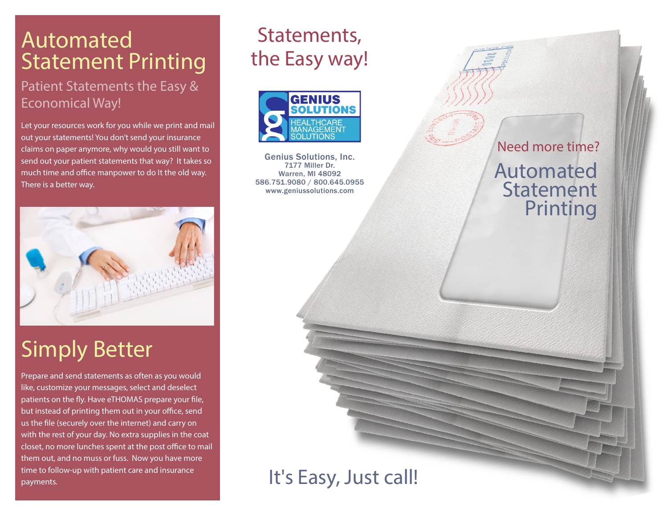## Automated Statement Printing

### Patient Statements the Easy & Economical Way!

Let your resources work for you while we print and mail out your statements! You don't send your insurance claims on paper anymore, why would you still want to send out your patient statements that way? It takes so much time and office manpower to do It the old way. There is a better way.



# Simply Better

Prepare and send statements as often as you would like, customize your messages, select and deselect patients on the fly. Have eTHOMAS prepare your file, but instead of printing them out in your office, send us the file (securely over the internet) and carry on with the rest of your day. No extra supplies in the coat closet, no more lunches spent at the post office to mail them out, and no muss or fuss. Now you have more time to follow-up with patient care and insurance payments.

## Statements, the Easy way!



Genius Solutions, Inc. 7177 Miller Dr. Warren, MI 48092 586.751.9080 / 800.645.0955 www.geniussolutions.com

Automated Statement Printing Need more time?

## It's Easy, Just call!